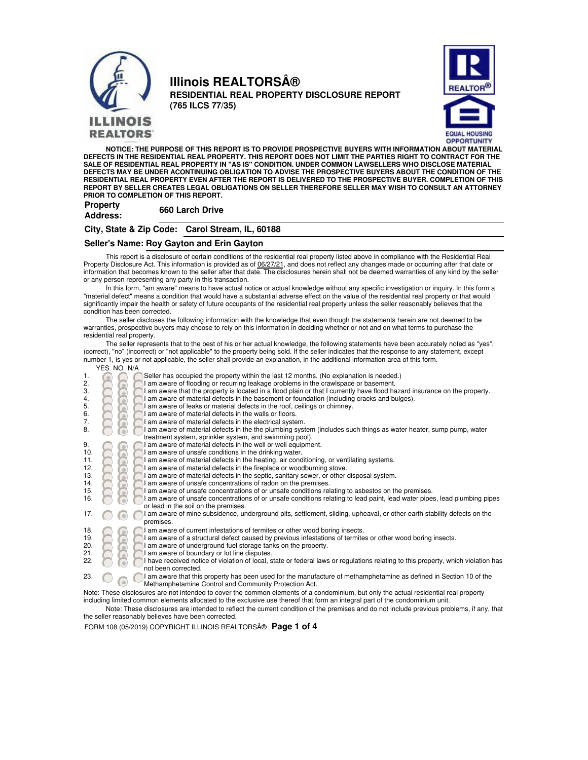

## **Illinois REALTORS® RESIDENTIAL REAL PROPERTY DISCLOSURE REPORT (765 ILCS 77/35)**



**NOTICE: THE PURPOSE OF THIS REPORT IS TO PROVIDE PROSPECTIVE BUYERS WITH INFORMATION ABOUT MATERIAL** DEFECTS IN THE RESIDENTIAL REAL PROPERTY. THIS REPORT DOES NOT LIMIT THE PARTIES RIGHT TO CONTRACT FOR THE **SALE OF RESIDENTIAL REAL PROPERTY IN "AS IS" CONDITION. UNDER COMMON LAWSELLERS WHO DISCLOSE MATERIAL DEFECTS MAY BE UNDER ACONTINUING OBLIGATION TO ADVISE THE PROSPECTIVE BUYERS ABOUT THE CONDITION OF THE RESIDENTIAL REAL PROPERTY EVEN AFTER THE REPORT IS DELIVERED TO THE PROSPECTIVE BUYER. COMPLETION OF THIS REPORT BY SELLER CREATES LEGAL OBLIGATIONS ON SELLER THEREFORE SELLER MAY WISH TO CONSULT AN ATTORNEY PRIOR TO COMPLETION OF THIS REPORT.**

**Property Address: 660 Larch Drive**

## **City, State & Zip Code: Carol Stream, IL, 60188**

## **Seller's Name: Roy Gayton and Erin Gayton**

This report is a disclosure of certain conditions of the residential real property listed above in compliance with the Residential Real Property Disclosure Act. This information is provided as of <u>06/27/21,</u> and does not reflect any changes made or occurring after that date or information that becomes known to the seller after that date. The disclosures herein shall not be deemed warranties of any kind by the seller or any person representing any party in this transaction.

In this form, "am aware" means to have actual notice or actual knowledge without any specific investigation or inquiry. In this form a "material defect" means a condition that would have a substantial adverse effect on the value of the residential real property or that would significantly impair the health or safety of future occupants of the residential real property unless the seller reasonably believes that the condition has been corrected.

The seller discloses the following information with the knowledge that even though the statements herein are not deemed to be warranties, prospective buyers may choose to rely on this information in deciding whether or not and on what terms to purchase the residential real property.

The seller represents that to the best of his or her actual knowledge, the following statements have been accurately noted as "yes", (correct), "no" (incorrect) or "not applicable" to the property being sold. If the seller indicates that the response to any statement, except number 1, is yes or not applicable, the seller shall provide an explanation, in the additional information area of this form.

|                                                         | YES NO N/A |  |  |                                                                                                                                                                                |  |
|---------------------------------------------------------|------------|--|--|--------------------------------------------------------------------------------------------------------------------------------------------------------------------------------|--|
| 1.<br>2.                                                |            |  |  | Seller has occupied the property within the last 12 months. (No explanation is needed.)<br>I am aware of flooding or recurring leakage problems in the crawlspace or basement. |  |
| 3.                                                      |            |  |  | I am aware that the property is located in a flood plain or that I currently have flood hazard insurance on the property.                                                      |  |
| 4.                                                      |            |  |  | I am aware of material defects in the basement or foundation (including cracks and bulges).                                                                                    |  |
| 5.                                                      |            |  |  |                                                                                                                                                                                |  |
| 6.                                                      |            |  |  | I am aware of leaks or material defects in the roof, ceilings or chimney.                                                                                                      |  |
|                                                         |            |  |  | I am aware of material defects in the walls or floors.                                                                                                                         |  |
| 7.                                                      |            |  |  | I am aware of material defects in the electrical system.                                                                                                                       |  |
| 8.                                                      |            |  |  | I am aware of material defects in the the plumbing system (includes such things as water heater, sump pump, water                                                              |  |
| treatment system, sprinkler system, and swimming pool). |            |  |  |                                                                                                                                                                                |  |
| 9.                                                      |            |  |  | I am aware of material defects in the well or well equipment.                                                                                                                  |  |
| 10.                                                     |            |  |  | I am aware of unsafe conditions in the drinking water.                                                                                                                         |  |
| 11.                                                     |            |  |  | I am aware of material defects in the heating, air conditioning, or ventilating systems.                                                                                       |  |
| 12.                                                     |            |  |  | I am aware of material defects in the fireplace or woodburning stove.                                                                                                          |  |
| 13.                                                     |            |  |  | I am aware of material defects in the septic, sanitary sewer, or other disposal system.                                                                                        |  |
| 14.                                                     |            |  |  | I am aware of unsafe concentrations of radon on the premises.                                                                                                                  |  |
| 15.                                                     |            |  |  | I am aware of unsafe concentrations of or unsafe conditions relating to asbestos on the premises.                                                                              |  |
| 16.                                                     |            |  |  | I am aware of unsafe concentrations of or unsafe conditions relating to lead paint, lead water pipes, lead plumbing pipes<br>or lead in the soil on the premises.              |  |
| 17.                                                     |            |  |  | am aware of mine subsidence, underground pits, settlement, sliding, upheaval, or other earth stability defects on the                                                          |  |
|                                                         |            |  |  | premises.                                                                                                                                                                      |  |
| 18.                                                     |            |  |  | am aware of current infestations of termites or other wood boring insects.                                                                                                     |  |
| 19.                                                     |            |  |  | I am aware of a structural defect caused by previous infestations of termites or other wood boring insects.                                                                    |  |
| 20.                                                     |            |  |  | I am aware of underground fuel storage tanks on the property.                                                                                                                  |  |
| 21.                                                     |            |  |  | I am aware of boundary or lot line disputes.                                                                                                                                   |  |
| 22.                                                     |            |  |  | I have received notice of violation of local, state or federal laws or regulations relating to this property, which violation has                                              |  |
|                                                         |            |  |  | not been corrected.                                                                                                                                                            |  |
| 23.                                                     |            |  |  | I am aware that this property has been used for the manufacture of methamphetamine as defined in Section 10 of the                                                             |  |
|                                                         |            |  |  | Mathemathetership - Opeterland Operaciety Deptables Act                                                                                                                        |  |

Methamphetamine Control and Community Protection Act. Note: These disclosures are not intended to cover the common elements of a condominium, but only the actual residential real property including limited common elements allocated to the exclusive use thereof that form an integral part of the condominium unit.

Note: These disclosures are intended to reflect the current condition of the premises and do not include previous problems, if any, that the seller reasonably believes have been corrected.

FORM 108 (05/2019) COPYRIGHT ILLINOIS REALTORS® **Page 1 of 4**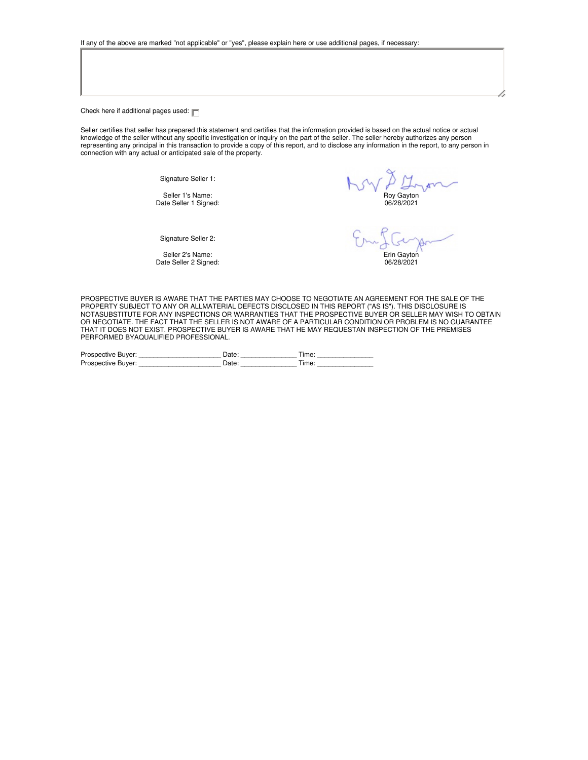If any of the above are marked "not applicable" or "yes", please explain here or use additional pages, if necessary:

Check here if additional pages used:

Seller certifies that seller has prepared this statement and certifies that the information provided is based on the actual notice or actual knowledge of the seller without any specific investigation or inquiry on the part of the seller. The seller hereby authorizes any person representing any principal in this transaction to provide a copy of this report, and to disclose any information in the report, to any person in connection with any actual or anticipated sale of the property.

Signature Seller 1:

Seller 1's Name:<br>
ate Seller 1 Signed:<br>
26/28/2021<br>
Roy Gayton (1982) Date Seller 1 Signed:

Signature Seller 2:

Date Seller 2 Signed:

Seller 2's Name:<br>
Seller 2 Signed:<br>
Geller 2 Signed:

PROSPECTIVE BUYER IS AWARE THAT THE PARTIES MAY CHOOSE TO NEGOTIATE AN AGREEMENT FOR THE SALE OF THE PROPERTY SUBJECT TO ANY OR ALLMATERIAL DEFECTS DISCLOSED IN THIS REPORT ("AS IS"). THIS DISCLOSURE IS NOTASUBSTITUTE FOR ANY INSPECTIONS OR WARRANTIES THAT THE PROSPECTIVE BUYER OR SELLER MAY WISH TO OBTAIN OR NEGOTIATE. THE FACT THAT THE SELLER IS NOT AWARE OF A PARTICULAR CONDITION OR PROBLEM IS NO GUARANTEE THAT IT DOES NOT EXIST. PROSPECTIVE BUYER IS AWARE THAT HE MAY REQUESTAN INSPECTION OF THE PREMISES PERFORMED BYAQUALIFIED PROFESSIONAL.

| Prospective Buver: |  |
|--------------------|--|
| Prospective Buver: |  |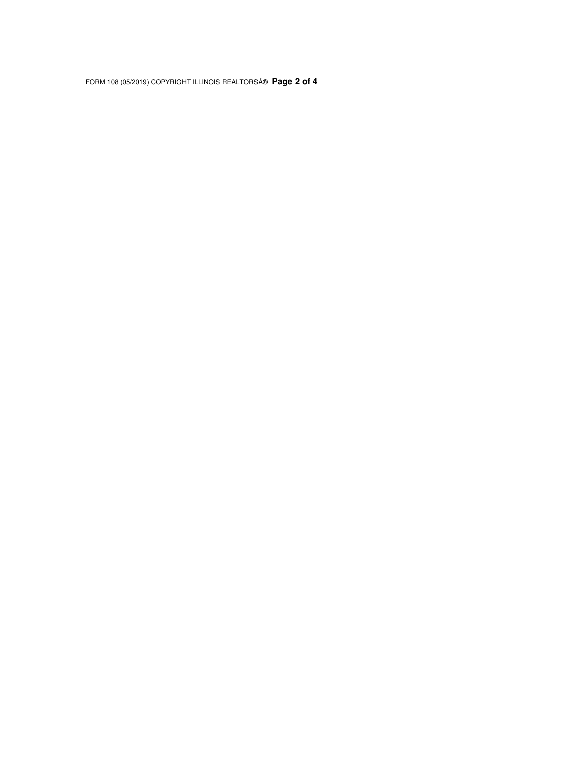FORM 108 (05/2019) COPYRIGHT ILLINOIS REALTORS® **Page 2 of 4**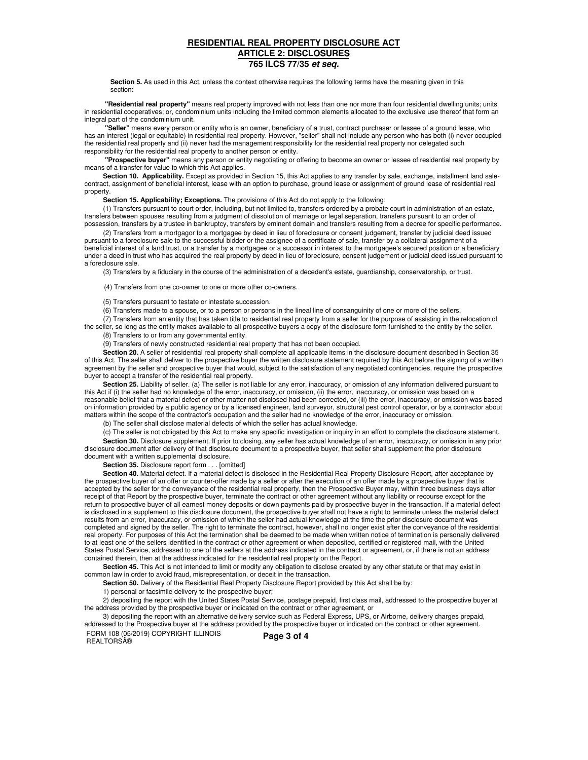## **RESIDENTIAL REAL PROPERTY DISCLOSURE ACT ARTICLE 2: DISCLOSURES 765 ILCS 77/35** *et seq.*

**Section 5.** As used in this Act, unless the context otherwise requires the following terms have the meaning given in this section:

**"Residential real property"** means real property improved with not less than one nor more than four residential dwelling units; units in residential cooperatives; or, condominium units including the limited common elements allocated to the exclusive use thereof that form an integral part of the condominium unit.

**"Seller"** means every person or entity who is an owner, beneficiary of a trust, contract purchaser or lessee of a ground lease, who has an interest (legal or equitable) in residential real property. However, "seller" shall not include any person who has both (i) never occupied the residential real property and (ii) never had the management responsibility for the residential real property nor delegated such responsibility for the residential real property to another person or entity.

**"Prospective buyer"** means any person or entity negotiating or offering to become an owner or lessee of residential real property by means of a transfer for value to which this Act applies.

**Section 10. Applicability.** Except as provided in Section 15, this Act applies to any transfer by sale, exchange, installment land salecontract, assignment of beneficial interest, lease with an option to purchase, ground lease or assignment of ground lease of residential real property.

**Section 15. Applicability; Exceptions.** The provisions of this Act do not apply to the following:

(1) Transfers pursuant to court order, including, but not limited to, transfers ordered by a probate court in administration of an estate, transfers between spouses resulting from a judgment of dissolution of marriage or legal separation, transfers pursuant to an order of possession, transfers by a trustee in bankruptcy, transfers by eminent domain and transfers resulting from a decree for specific performance.

(2) Transfers from a mortgagor to a mortgagee by deed in lieu of foreclosure or consent judgement, transfer by judicial deed issued pursuant to a foreclosure sale to the successful bidder or the assignee of a certificate of sale, transfer by a collateral assignment of a beneficial interest of a land trust, or a transfer by a mortgagee or a successor in interest to the mortgagee's secured position or a beneficiary under a deed in trust who has acquired the real property by deed in lieu of foreclosure, consent judgement or judicial deed issued pursuant to a foreclosure sale.

(3) Transfers by a fiduciary in the course of the administration of a decedent's estate, guardianship, conservatorship, or trust.

(4) Transfers from one co-owner to one or more other co-owners.

(5) Transfers pursuant to testate or intestate succession.

(6) Transfers made to a spouse, or to a person or persons in the lineal line of consanguinity of one or more of the sellers.

(7) Transfers from an entity that has taken title to residential real property from a seller for the purpose of assisting in the relocation of the seller, so long as the entity makes available to all prospective buyers a copy of the disclosure form furnished to the entity by the seller.

(8) Transfers to or from any governmental entity.

(9) Transfers of newly constructed residential real property that has not been occupied.

**Section 20.** A seller of residential real property shall complete all applicable items in the disclosure document described in Section 35 of this Act. The seller shall deliver to the prospective buyer the written disclosure statement required by this Act before the signing of a written agreement by the seller and prospective buyer that would, subject to the satisfaction of any negotiated contingencies, require the prospective buyer to accept a transfer of the residential real property.

**Section 25.** Liability of seller. (a) The seller is not liable for any error, inaccuracy, or omission of any information delivered pursuant to this Act if (i) the seller had no knowledge of the error, inaccuracy, or omission, (ii) the error, inaccuracy, or omission was based on a reasonable belief that a material defect or other matter not disclosed had been corrected, or (iii) the error, inaccuracy, or omission was based on information provided by a public agency or by a licensed engineer, land surveyor, structural pest control operator, or by a contractor about matters within the scope of the contractor's occupation and the seller had no knowledge of the error, inaccuracy or omission.

(b) The seller shall disclose material defects of which the seller has actual knowledge.

(c) The seller is not obligated by this Act to make any specific investigation or inquiry in an effort to complete the disclosure statement. **Section 30.** Disclosure supplement. If prior to closing, any seller has actual knowledge of an error, inaccuracy, or omission in any prior disclosure document after delivery of that disclosure document to a prospective buyer, that seller shall supplement the prior disclosure document with a written supplemental disclosure.

**Section 35.** Disclosure report form . . . [omitted]

**Section 40.** Material defect. If a material defect is disclosed in the Residential Real Property Disclosure Report, after acceptance by the prospective buyer of an offer or counter-offer made by a seller or after the execution of an offer made by a prospective buyer that is accepted by the seller for the conveyance of the residential real property, then the Prospective Buyer may, within three business days after receipt of that Report by the prospective buyer, terminate the contract or other agreement without any liability or recourse except for the return to prospective buyer of all earnest money deposits or down payments paid by prospective buyer in the transaction. If a material defect is disclosed in a supplement to this disclosure document, the prospective buyer shall not have a right to terminate unless the material defect results from an error, inaccuracy, or omission of which the seller had actual knowledge at the time the prior disclosure document was completed and signed by the seller. The right to terminate the contract, however, shall no longer exist after the conveyance of the residential real property. For purposes of this Act the termination shall be deemed to be made when written notice of termination is personally delivered to at least one of the sellers identified in the contract or other agreement or when deposited, certified or registered mail, with the United States Postal Service, addressed to one of the sellers at the address indicated in the contract or agreement, or, if there is not an address contained therein, then at the address indicated for the residential real property on the Report.

**Section 45.** This Act is not intended to limit or modify any obligation to disclose created by any other statute or that may exist in common law in order to avoid fraud, misrepresentation, or deceit in the transaction.

**Section 50.** Delivery of the Residential Real Property Disclosure Report provided by this Act shall be by:

1) personal or facsimile delivery to the prospective buyer;

2) depositing the report with the United States Postal Service, postage prepaid, first class mail, addressed to the prospective buyer at the address provided by the prospective buyer or indicated on the contract or other agreement, or

3) depositing the report with an alternative delivery service such as Federal Express, UPS, or Airborne, delivery charges prepaid, addressed to the Prospective buyer at the address provided by the prospective buyer or indicated on the contract or other agreement.

FORM 108 (05/2019) COPYRIGHT ILLINOIS **REALTORSA®** 

**Page 3 of 4**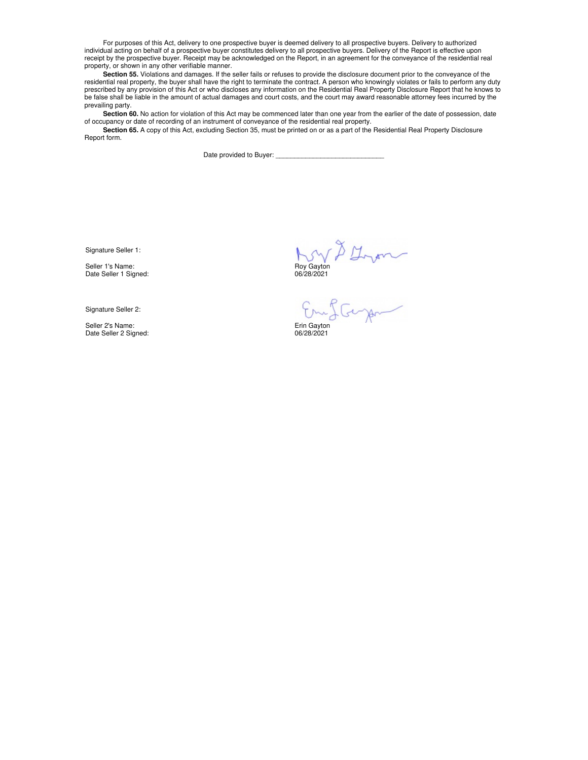For purposes of this Act, delivery to one prospective buyer is deemed delivery to all prospective buyers. Delivery to authorized individual acting on behalf of a prospective buyer constitutes delivery to all prospective buyers. Delivery of the Report is effective upon receipt by the prospective buyer. Receipt may be acknowledged on the Report, in an agreement for the conveyance of the residential real property, or shown in any other verifiable manner.

**Section 55.** Violations and damages. If the seller fails or refuses to provide the disclosure document prior to the conveyance of the residential real property, the buyer shall have the right to terminate the contract. A person who knowingly violates or fails to perform any duty prescribed by any provision of this Act or who discloses any information on the Residential Real Property Disclosure Report that he knows to be false shall be liable in the amount of actual damages and court costs, and the court may award reasonable attorney fees incurred by the prevailing party.

**Section 60.** No action for violation of this Act may be commenced later than one year from the earlier of the date of possession, date of occupancy or date of recording of an instrument of conveyance of the residential real property.

**Section 65.** A copy of this Act, excluding Section 35, must be printed on or as a part of the Residential Real Property Disclosure Report form.

Date provided to Buyer:

Signature Seller 1:

Date Seller 1 Signed:

Signature Seller 2:

ender 2's Name:<br>
Date Seller 2 Signed:<br>
06/28/2021 Date Seller 2 Signed:

Signature Seller 1:<br>
Seller 1's Name:<br>
Date Seller 1 Signed:<br>
Signature Seller 2:<br>
Signature Seller 2:<br>
Change Carpenter Seller 2: